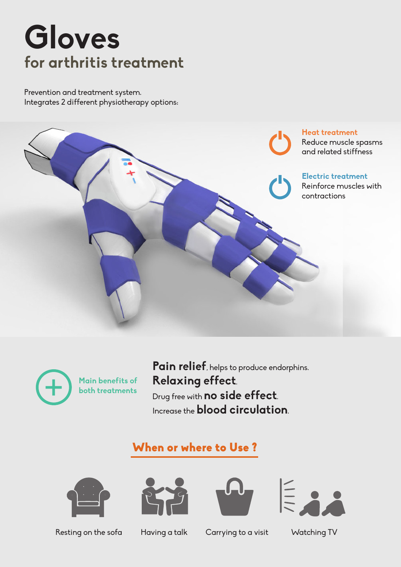# **Gloves for arthritis treatment**

Prevention and treatment system. Integrates 2 different physiotherapy options:





**Pain relief**, helps to produce endorphins. **Relaxing effect**. Drug free with **no side effect**. Increase the **blood circulation**.

### When or where to Use ?









Resting on the sofa Having a talk Carrying to a visit Watching TV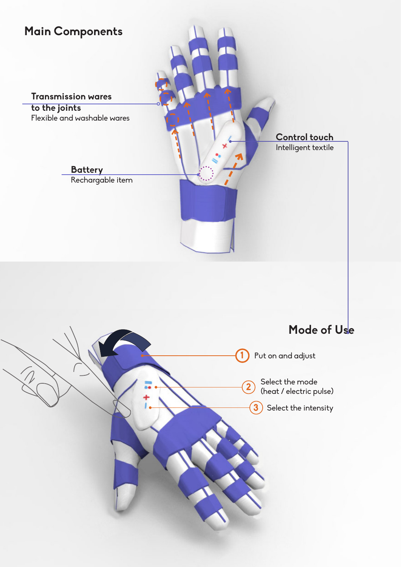